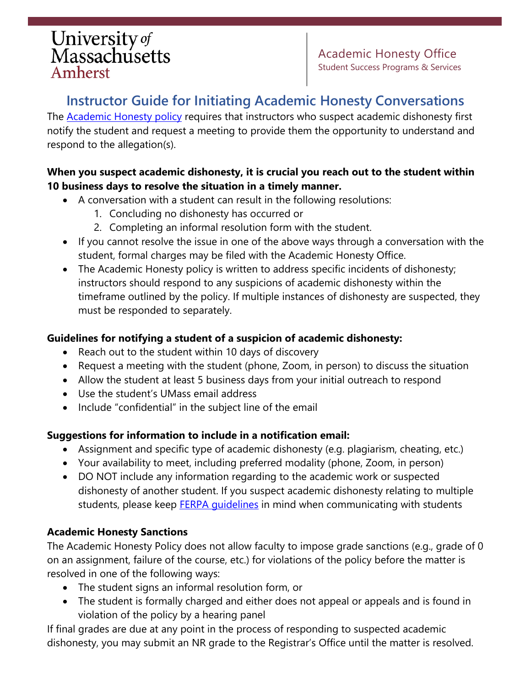# University of<br>Massachusetts Amherst

Academic Honesty Office Student Success Programs & Services

## **Instructor Guide for Initiating Academic Honesty Conversations**

The **Academic Honesty policy requires that instructors who suspect academic dishonesty first** notify the student and request a meeting to provide them the opportunity to understand and respond to the allegation(s).

### **When you suspect academic dishonesty, it is crucial you reach out to the student within 10 business days to resolve the situation in a timely manner.**

- A conversation with a student can result in the following resolutions:
	- 1. Concluding no dishonesty has occurred or
	- 2. Completing an informal resolution form with the student.
- If you cannot resolve the issue in one of the above ways through a conversation with the student, formal charges may be filed with the Academic Honesty Office.
- The Academic Honesty policy is written to address specific incidents of dishonesty; instructors should respond to any suspicions of academic dishonesty within the timeframe outlined by the policy. If multiple instances of dishonesty are suspected, they must be responded to separately.

### **Guidelines for notifying a student of a suspicion of academic dishonesty:**

- Reach out to the student within 10 days of discovery
- Request a meeting with the student (phone, Zoom, in person) to discuss the situation
- Allow the student at least 5 business days from your initial outreach to respond
- Use the student's UMass email address
- Include "confidential" in the subject line of the email

### **Suggestions for information to include in a notification email:**

- Assignment and specific type of academic dishonesty (e.g. plagiarism, cheating, etc.)
- Your availability to meet, including preferred modality (phone, Zoom, in person)
- DO NOT include any information regarding to the academic work or suspected dishonesty of another student. If you suspect academic dishonesty relating to multiple students, please keep **FERPA quidelines** in mind when communicating with students

### **Academic Honesty Sanctions**

The Academic Honesty Policy does not allow faculty to impose grade sanctions (e.g., grade of 0 on an assignment, failure of the course, etc.) for violations of the policy before the matter is resolved in one of the following ways:

- The student signs an informal resolution form, or
- The student is formally charged and either does not appeal or appeals and is found in violation of the policy by a hearing panel

If final grades are due at any point in the process of responding to suspected academic dishonesty, you may submit an NR grade to the Registrar's Office until the matter is resolved.